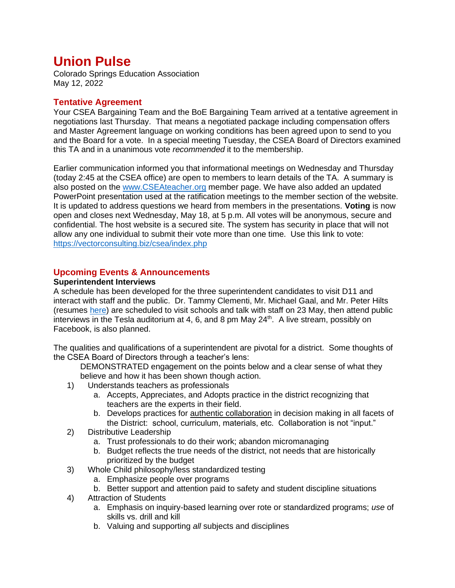# **Union Pulse**

Colorado Springs Education Association May 12, 2022

## **Tentative Agreement**

Your CSEA Bargaining Team and the BoE Bargaining Team arrived at a tentative agreement in negotiations last Thursday. That means a negotiated package including compensation offers and Master Agreement language on working conditions has been agreed upon to send to you and the Board for a vote. In a special meeting Tuesday, the CSEA Board of Directors examined this TA and in a unanimous vote *recommended* it to the membership.

Earlier communication informed you that informational meetings on Wednesday and Thursday (today 2:45 at the CSEA office) are open to members to learn details of the TA. A summary is also posted on the [www.CSEAteacher.org](http://www.cseateacher.org/) member page. We have also added an updated PowerPoint presentation used at the ratification meetings to the member section of the website. It is updated to address questions we heard from members in the presentations. **Voting** is now open and closes next Wednesday, May 18, at 5 p.m. All votes will be anonymous, secure and confidential. The host website is a secured site. The system has security in place that will not allow any one individual to submit their vote more than one time. Use this link to vote: <https://vectorconsulting.biz/csea/index.php>

### **Upcoming Events & Announcements**

#### **Superintendent Interviews**

A schedule has been developed for the three superintendent candidates to visit D11 and interact with staff and the public. Dr. Tammy Clementi, Mr. Michael Gaal, and Mr. Peter Hilts (resumes [here\)](https://www.d11.org/SuperintendentSearch) are scheduled to visit schools and talk with staff on 23 May, then attend public interviews in the Tesla auditorium at 4, 6, and 8 pm May 24<sup>th</sup>. A live stream, possibly on Facebook, is also planned.

The qualities and qualifications of a superintendent are pivotal for a district. Some thoughts of the CSEA Board of Directors through a teacher's lens:

DEMONSTRATED engagement on the points below and a clear sense of what they believe and how it has been shown though action.

- 1) Understands teachers as professionals
	- a. Accepts, Appreciates, and Adopts practice in the district recognizing that teachers are the experts in their field.
	- b. Develops practices for authentic collaboration in decision making in all facets of the District: school, curriculum, materials, etc. Collaboration is not "input."
- 2) Distributive Leadership
	- a. Trust professionals to do their work; abandon micromanaging
	- b. Budget reflects the true needs of the district, not needs that are historically prioritized by the budget
- 3) Whole Child philosophy/less standardized testing
	- a. Emphasize people over programs
	- b. Better support and attention paid to safety and student discipline situations
- 4) Attraction of Students
	- a. Emphasis on inquiry-based learning over rote or standardized programs; *use* of skills vs. drill and kill
	- b. Valuing and supporting *all* subjects and disciplines